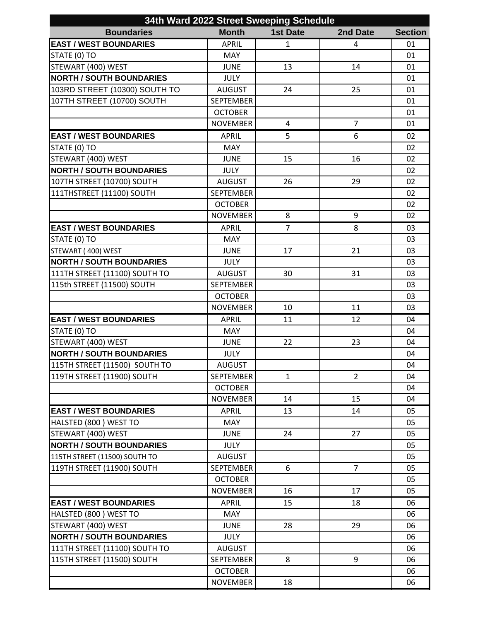| 34th Ward 2022 Street Sweeping Schedule |                  |                 |                |                |  |
|-----------------------------------------|------------------|-----------------|----------------|----------------|--|
| <b>Boundaries</b>                       | <b>Month</b>     | <b>1st Date</b> | 2nd Date       | <b>Section</b> |  |
| <b>EAST / WEST BOUNDARIES</b>           | <b>APRIL</b>     | $\mathbf{1}$    | 4              | 01             |  |
| STATE (0) TO                            | <b>MAY</b>       |                 |                | 01             |  |
| STEWART (400) WEST                      | <b>JUNE</b>      | 13              | 14             | 01             |  |
| <b>NORTH / SOUTH BOUNDARIES</b>         | <b>JULY</b>      |                 |                | 01             |  |
| 103RD STREET (10300) SOUTH TO           | <b>AUGUST</b>    | 24              | 25             | 01             |  |
| 107TH STREET (10700) SOUTH              | <b>SEPTEMBER</b> |                 |                | 01             |  |
|                                         | <b>OCTOBER</b>   |                 |                | 01             |  |
|                                         | <b>NOVEMBER</b>  | $\overline{4}$  | $\overline{7}$ | 01             |  |
| <b>EAST / WEST BOUNDARIES</b>           | <b>APRIL</b>     | 5               | 6              | 02             |  |
| STATE (0) TO                            | <b>MAY</b>       |                 |                | 02             |  |
| STEWART (400) WEST                      | <b>JUNE</b>      | 15              | 16             | 02             |  |
| <b>NORTH / SOUTH BOUNDARIES</b>         | <b>JULY</b>      |                 |                | 02             |  |
| 107TH STREET (10700) SOUTH              | <b>AUGUST</b>    | 26              | 29             | 02             |  |
| 111THSTREET (11100) SOUTH               | <b>SEPTEMBER</b> |                 |                | 02             |  |
|                                         | <b>OCTOBER</b>   |                 |                | 02             |  |
|                                         | <b>NOVEMBER</b>  | 8               | 9              | 02             |  |
| <b>EAST / WEST BOUNDARIES</b>           | <b>APRIL</b>     | $\overline{7}$  | 8              | 03             |  |
| STATE (0) TO                            | <b>MAY</b>       |                 |                | 03             |  |
| STEWART (400) WEST                      | <b>JUNE</b>      | 17              | 21             | 03             |  |
| <b>NORTH / SOUTH BOUNDARIES</b>         | <b>JULY</b>      |                 |                | 03             |  |
| 111TH STREET (11100) SOUTH TO           | <b>AUGUST</b>    | 30              | 31             | 03             |  |
| 115th STREET (11500) SOUTH              | <b>SEPTEMBER</b> |                 |                | 03             |  |
|                                         | <b>OCTOBER</b>   |                 |                | 03             |  |
|                                         | <b>NOVEMBER</b>  | 10              | 11             | 03             |  |
| <b>EAST / WEST BOUNDARIES</b>           | <b>APRIL</b>     | 11              | 12             | 04             |  |
| STATE (0) TO                            | <b>MAY</b>       |                 |                | 04             |  |
| STEWART (400) WEST                      | <b>JUNE</b>      | 22              | 23             | 04             |  |
| <b>NORTH / SOUTH BOUNDARIES</b>         | <b>JULY</b>      |                 |                | 04             |  |
| 115TH STREET (11500) SOUTH TO           | <b>AUGUST</b>    |                 |                | 04             |  |
| 119TH STREET (11900) SOUTH              | <b>SEPTEMBER</b> | $\mathbf{1}$    | $\overline{2}$ | 04             |  |
|                                         | <b>OCTOBER</b>   |                 |                | 04             |  |
|                                         | <b>NOVEMBER</b>  | 14              | 15             | 04             |  |
| <b>EAST / WEST BOUNDARIES</b>           | <b>APRIL</b>     | 13              | 14             | 05             |  |
| HALSTED (800) WEST TO                   | <b>MAY</b>       |                 |                | 05             |  |
| STEWART (400) WEST                      | <b>JUNE</b>      | 24              | 27             | 05             |  |
| <b>NORTH / SOUTH BOUNDARIES</b>         | <b>JULY</b>      |                 |                | 05             |  |
| 115TH STREET (11500) SOUTH TO           | <b>AUGUST</b>    |                 |                | 05             |  |
| 119TH STREET (11900) SOUTH              | <b>SEPTEMBER</b> | 6               | $\overline{7}$ | 05             |  |
|                                         | <b>OCTOBER</b>   |                 |                | 05             |  |
|                                         | <b>NOVEMBER</b>  | 16              | 17             | 05             |  |
| <b>EAST / WEST BOUNDARIES</b>           | <b>APRIL</b>     | 15              | 18             | 06             |  |
| HALSTED (800) WEST TO                   | <b>MAY</b>       |                 |                | 06             |  |
| STEWART (400) WEST                      | <b>JUNE</b>      | 28              | 29             | 06             |  |
| <b>NORTH / SOUTH BOUNDARIES</b>         | <b>JULY</b>      |                 |                | 06             |  |
| 111TH STREET (11100) SOUTH TO           | <b>AUGUST</b>    |                 |                | 06             |  |
| 115TH STREET (11500) SOUTH              | SEPTEMBER        | 8               | 9              | 06             |  |
|                                         | <b>OCTOBER</b>   |                 |                | 06             |  |
|                                         | <b>NOVEMBER</b>  | 18              |                | 06             |  |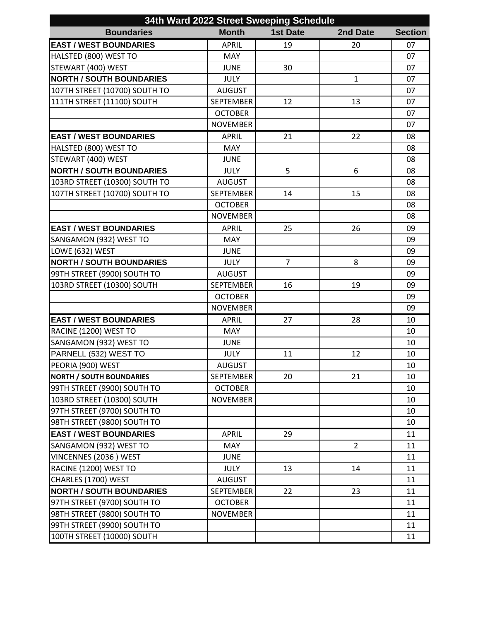| 34th Ward 2022 Street Sweeping Schedule |                  |                 |                |                |
|-----------------------------------------|------------------|-----------------|----------------|----------------|
| <b>Boundaries</b>                       | <b>Month</b>     | <b>1st Date</b> | 2nd Date       | <b>Section</b> |
| <b>EAST / WEST BOUNDARIES</b>           | <b>APRIL</b>     | 19              | 20             | 07             |
| HALSTED (800) WEST TO                   | <b>MAY</b>       |                 |                | 07             |
| STEWART (400) WEST                      | <b>JUNE</b>      | 30              |                | 07             |
| <b>NORTH / SOUTH BOUNDARIES</b>         | <b>JULY</b>      |                 | $\mathbf{1}$   | 07             |
| 107TH STREET (10700) SOUTH TO           | <b>AUGUST</b>    |                 |                | 07             |
| 111TH STREET (11100) SOUTH              | <b>SEPTEMBER</b> | 12              | 13             | 07             |
|                                         | <b>OCTOBER</b>   |                 |                | 07             |
|                                         | <b>NOVEMBER</b>  |                 |                | 07             |
| <b>EAST / WEST BOUNDARIES</b>           | <b>APRIL</b>     | 21              | 22             | 08             |
| HALSTED (800) WEST TO                   | <b>MAY</b>       |                 |                | 08             |
| STEWART (400) WEST                      | <b>JUNE</b>      |                 |                | 08             |
| <b>NORTH / SOUTH BOUNDARIES</b>         | <b>JULY</b>      | 5               | 6              | 08             |
| 103RD STREET (10300) SOUTH TO           | <b>AUGUST</b>    |                 |                | 08             |
| 107TH STREET (10700) SOUTH TO           | <b>SEPTEMBER</b> | 14              | 15             | 08             |
|                                         | <b>OCTOBER</b>   |                 |                | 08             |
|                                         | <b>NOVEMBER</b>  |                 |                | 08             |
| <b>EAST / WEST BOUNDARIES</b>           | <b>APRIL</b>     | 25              | 26             | 09             |
| SANGAMON (932) WEST TO                  | <b>MAY</b>       |                 |                | 09             |
| LOWE (632) WEST                         | <b>JUNE</b>      |                 |                | 09             |
| <b>NORTH / SOUTH BOUNDARIES</b>         | <b>JULY</b>      | $\overline{7}$  | 8              | 09             |
| 99TH STREET (9900) SOUTH TO             | <b>AUGUST</b>    |                 |                | 09             |
| 103RD STREET (10300) SOUTH              | <b>SEPTEMBER</b> | 16              | 19             | 09             |
|                                         | <b>OCTOBER</b>   |                 |                | 09             |
|                                         | <b>NOVEMBER</b>  |                 |                | 09             |
| <b>EAST / WEST BOUNDARIES</b>           | <b>APRIL</b>     | 27              | 28             | 10             |
| RACINE (1200) WEST TO                   | MAY              |                 |                | 10             |
| SANGAMON (932) WEST TO                  | <b>JUNE</b>      |                 |                | 10             |
| PARNELL (532) WEST TO                   | <b>JULY</b>      | 11              | 12             | 10             |
| PEORIA (900) WEST                       | <b>AUGUST</b>    |                 |                | 10             |
| <b>NORTH / SOUTH BOUNDARIES</b>         | <b>SEPTEMBER</b> | 20              | 21             | 10             |
| 99TH STREET (9900) SOUTH TO             | <b>OCTOBER</b>   |                 |                | 10             |
| 103RD STREET (10300) SOUTH              | <b>NOVEMBER</b>  |                 |                | 10             |
| 97TH STREET (9700) SOUTH TO             |                  |                 |                | 10             |
| 98TH STREET (9800) SOUTH TO             |                  |                 |                | 10             |
| <b>EAST / WEST BOUNDARIES</b>           | <b>APRIL</b>     | 29              |                | 11             |
| SANGAMON (932) WEST TO                  | <b>MAY</b>       |                 | $\overline{2}$ | 11             |
| VINCENNES (2036) WEST                   | <b>JUNE</b>      |                 |                | 11             |
| RACINE (1200) WEST TO                   | <b>JULY</b>      | 13              | 14             | 11             |
| CHARLES (1700) WEST                     | <b>AUGUST</b>    |                 |                | 11             |
| <b>NORTH / SOUTH BOUNDARIES</b>         | <b>SEPTEMBER</b> | 22              | 23             | 11             |
| 97TH STREET (9700) SOUTH TO             | <b>OCTOBER</b>   |                 |                | 11             |
| 98TH STREET (9800) SOUTH TO             | <b>NOVEMBER</b>  |                 |                | 11             |
| 99TH STREET (9900) SOUTH TO             |                  |                 |                | 11             |
| 100TH STREET (10000) SOUTH              |                  |                 |                | 11             |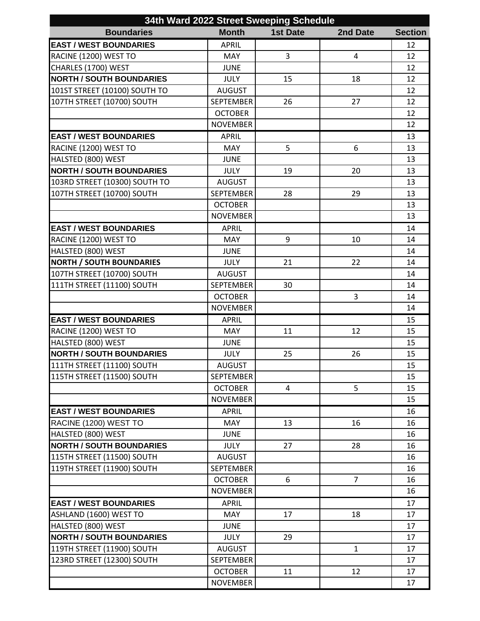| 34th Ward 2022 Street Sweeping Schedule |                  |                 |                |                |
|-----------------------------------------|------------------|-----------------|----------------|----------------|
| <b>Boundaries</b>                       | <b>Month</b>     | <b>1st Date</b> | 2nd Date       | <b>Section</b> |
| <b>EAST / WEST BOUNDARIES</b>           | <b>APRIL</b>     |                 |                | 12             |
| RACINE (1200) WEST TO                   | MAY              | 3               | $\overline{4}$ | 12             |
| CHARLES (1700) WEST                     | <b>JUNE</b>      |                 |                | 12             |
| <b>NORTH / SOUTH BOUNDARIES</b>         | <b>JULY</b>      | 15              | 18             | 12             |
| 101ST STREET (10100) SOUTH TO           | <b>AUGUST</b>    |                 |                | 12             |
| 107TH STREET (10700) SOUTH              | <b>SEPTEMBER</b> | 26              | 27             | 12             |
|                                         | <b>OCTOBER</b>   |                 |                | 12             |
|                                         | <b>NOVEMBER</b>  |                 |                | 12             |
| <b>EAST / WEST BOUNDARIES</b>           | <b>APRIL</b>     |                 |                | 13             |
| RACINE (1200) WEST TO                   | <b>MAY</b>       | 5               | 6              | 13             |
| HALSTED (800) WEST                      | <b>JUNE</b>      |                 |                | 13             |
| <b>NORTH / SOUTH BOUNDARIES</b>         | <b>JULY</b>      | 19              | 20             | 13             |
| 103RD STREET (10300) SOUTH TO           | <b>AUGUST</b>    |                 |                | 13             |
| 107TH STREET (10700) SOUTH              | <b>SEPTEMBER</b> | 28              | 29             | 13             |
|                                         | <b>OCTOBER</b>   |                 |                | 13             |
|                                         | <b>NOVEMBER</b>  |                 |                | 13             |
| <b>EAST / WEST BOUNDARIES</b>           | <b>APRIL</b>     |                 |                | 14             |
| RACINE (1200) WEST TO                   | <b>MAY</b>       | 9               | 10             | 14             |
| HALSTED (800) WEST                      | <b>JUNE</b>      |                 |                | 14             |
| <b>NORTH / SOUTH BOUNDARIES</b>         | <b>JULY</b>      | 21              | 22             | 14             |
| 107TH STREET (10700) SOUTH              | <b>AUGUST</b>    |                 |                | 14             |
| 111TH STREET (11100) SOUTH              | <b>SEPTEMBER</b> | 30              |                | 14             |
|                                         | <b>OCTOBER</b>   |                 | 3              | 14             |
|                                         | <b>NOVEMBER</b>  |                 |                | 14             |
| <b>EAST / WEST BOUNDARIES</b>           | <b>APRIL</b>     |                 |                | 15             |
| RACINE (1200) WEST TO                   | <b>MAY</b>       | 11              | 12             | 15             |
| HALSTED (800) WEST                      | <b>JUNE</b>      |                 |                | 15             |
| <b>NORTH / SOUTH BOUNDARIES</b>         | <b>JULY</b>      | 25              | 26             | 15             |
| 111TH STREET (11100) SOUTH              | <b>AUGUST</b>    |                 |                | 15             |
| 115TH STREET (11500) SOUTH              | <b>SEPTEMBER</b> |                 |                | 15             |
|                                         | <b>OCTOBER</b>   | 4               | 5              | 15             |
|                                         | <b>NOVEMBER</b>  |                 |                | 15             |
| <b>EAST / WEST BOUNDARIES</b>           | <b>APRIL</b>     |                 |                | 16             |
| RACINE (1200) WEST TO                   | <b>MAY</b>       | 13              | 16             | 16             |
| HALSTED (800) WEST                      | <b>JUNE</b>      |                 |                | 16             |
| <b>NORTH / SOUTH BOUNDARIES</b>         | <b>JULY</b>      | 27              | 28             | 16             |
| 115TH STREET (11500) SOUTH              | <b>AUGUST</b>    |                 |                | 16             |
| 119TH STREET (11900) SOUTH              | <b>SEPTEMBER</b> |                 |                | 16             |
|                                         | <b>OCTOBER</b>   | 6               | $\overline{7}$ | 16             |
|                                         | <b>NOVEMBER</b>  |                 |                | 16             |
| <b>EAST / WEST BOUNDARIES</b>           | <b>APRIL</b>     |                 |                | 17             |
| ASHLAND (1600) WEST TO                  | MAY              | 17              | 18             | 17             |
| HALSTED (800) WEST                      | <b>JUNE</b>      |                 |                | 17             |
| <b>NORTH / SOUTH BOUNDARIES</b>         | <b>JULY</b>      | 29              |                | 17             |
| 119TH STREET (11900) SOUTH              | <b>AUGUST</b>    |                 | $\mathbf{1}$   | 17             |
| 123RD STREET (12300) SOUTH              | <b>SEPTEMBER</b> |                 |                | 17             |
|                                         | <b>OCTOBER</b>   | 11              | 12             | 17             |
|                                         | <b>NOVEMBER</b>  |                 |                | 17             |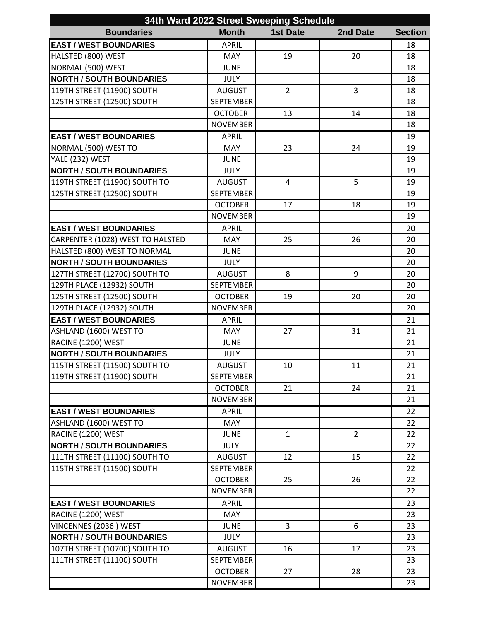| 34th Ward 2022 Street Sweeping Schedule |                  |                 |                |                |  |
|-----------------------------------------|------------------|-----------------|----------------|----------------|--|
| <b>Boundaries</b>                       | <b>Month</b>     | <b>1st Date</b> | 2nd Date       | <b>Section</b> |  |
| <b>EAST / WEST BOUNDARIES</b>           | <b>APRIL</b>     |                 |                | 18             |  |
| HALSTED (800) WEST                      | <b>MAY</b>       | 19              | 20             | 18             |  |
| NORMAL (500) WEST                       | <b>JUNE</b>      |                 |                | 18             |  |
| <b>NORTH / SOUTH BOUNDARIES</b>         | <b>JULY</b>      |                 |                | 18             |  |
| 119TH STREET (11900) SOUTH              | <b>AUGUST</b>    | $\overline{2}$  | 3              | 18             |  |
| 125TH STREET (12500) SOUTH              | <b>SEPTEMBER</b> |                 |                | 18             |  |
|                                         | <b>OCTOBER</b>   | 13              | 14             | 18             |  |
|                                         | <b>NOVEMBER</b>  |                 |                | 18             |  |
| <b>EAST / WEST BOUNDARIES</b>           | <b>APRIL</b>     |                 |                | 19             |  |
| NORMAL (500) WEST TO                    | <b>MAY</b>       | 23              | 24             | 19             |  |
| YALE (232) WEST                         | <b>JUNE</b>      |                 |                | 19             |  |
| <b>NORTH / SOUTH BOUNDARIES</b>         | <b>JULY</b>      |                 |                | 19             |  |
| 119TH STREET (11900) SOUTH TO           | <b>AUGUST</b>    | 4               | 5              | 19             |  |
| 125TH STREET (12500) SOUTH              | <b>SEPTEMBER</b> |                 |                | 19             |  |
|                                         | <b>OCTOBER</b>   | 17              | 18             | 19             |  |
|                                         | <b>NOVEMBER</b>  |                 |                | 19             |  |
| <b>EAST / WEST BOUNDARIES</b>           | <b>APRIL</b>     |                 |                | 20             |  |
| CARPENTER (1028) WEST TO HALSTED        | MAY              | 25              | 26             | 20             |  |
| HALSTED (800) WEST TO NORMAL            | <b>JUNE</b>      |                 |                | 20             |  |
| <b>NORTH / SOUTH BOUNDARIES</b>         | <b>JULY</b>      |                 |                | 20             |  |
| 127TH STREET (12700) SOUTH TO           | <b>AUGUST</b>    | 8               | 9              | 20             |  |
| 129TH PLACE (12932) SOUTH               | <b>SEPTEMBER</b> |                 |                | 20             |  |
| 125TH STREET (12500) SOUTH              | <b>OCTOBER</b>   | 19              | 20             | 20             |  |
| 129TH PLACE (12932) SOUTH               | <b>NOVEMBER</b>  |                 |                | 20             |  |
| <b>EAST / WEST BOUNDARIES</b>           | <b>APRIL</b>     |                 |                | 21             |  |
| ASHLAND (1600) WEST TO                  | <b>MAY</b>       | 27              | 31             | 21             |  |
| RACINE (1200) WEST                      | <b>JUNE</b>      |                 |                | 21             |  |
| <b>NORTH / SOUTH BOUNDARIES</b>         | JULY             |                 |                | 21             |  |
| 115TH STREET (11500) SOUTH TO           | <b>AUGUST</b>    | 10              | $11\,$         | 21             |  |
| 119TH STREET (11900) SOUTH              | <b>SEPTEMBER</b> |                 |                | 21             |  |
|                                         | <b>OCTOBER</b>   | 21              | 24             | 21             |  |
|                                         | <b>NOVEMBER</b>  |                 |                | 21             |  |
| <b>EAST / WEST BOUNDARIES</b>           | <b>APRIL</b>     |                 |                | 22             |  |
| ASHLAND (1600) WEST TO                  | <b>MAY</b>       |                 |                | 22             |  |
| RACINE (1200) WEST                      | <b>JUNE</b>      | $\mathbf{1}$    | $\overline{2}$ | 22             |  |
| <b>NORTH / SOUTH BOUNDARIES</b>         | <b>JULY</b>      |                 |                | 22             |  |
| 111TH STREET (11100) SOUTH TO           | <b>AUGUST</b>    | 12              | 15             | 22             |  |
| 115TH STREET (11500) SOUTH              | <b>SEPTEMBER</b> |                 |                | 22             |  |
|                                         | <b>OCTOBER</b>   | 25              | 26             | 22             |  |
|                                         | <b>NOVEMBER</b>  |                 |                | 22             |  |
| <b>EAST / WEST BOUNDARIES</b>           | <b>APRIL</b>     |                 |                | 23             |  |
| RACINE (1200) WEST                      | <b>MAY</b>       |                 |                | 23             |  |
| VINCENNES (2036) WEST                   | <b>JUNE</b>      | $\overline{3}$  | 6              | 23             |  |
| <b>NORTH / SOUTH BOUNDARIES</b>         | <b>JULY</b>      |                 |                | 23             |  |
| 107TH STREET (10700) SOUTH TO           | <b>AUGUST</b>    | 16              | 17             | 23             |  |
| 111TH STREET (11100) SOUTH              | <b>SEPTEMBER</b> |                 |                | 23             |  |
|                                         | <b>OCTOBER</b>   | 27              | 28             | 23             |  |
|                                         | <b>NOVEMBER</b>  |                 |                | 23             |  |